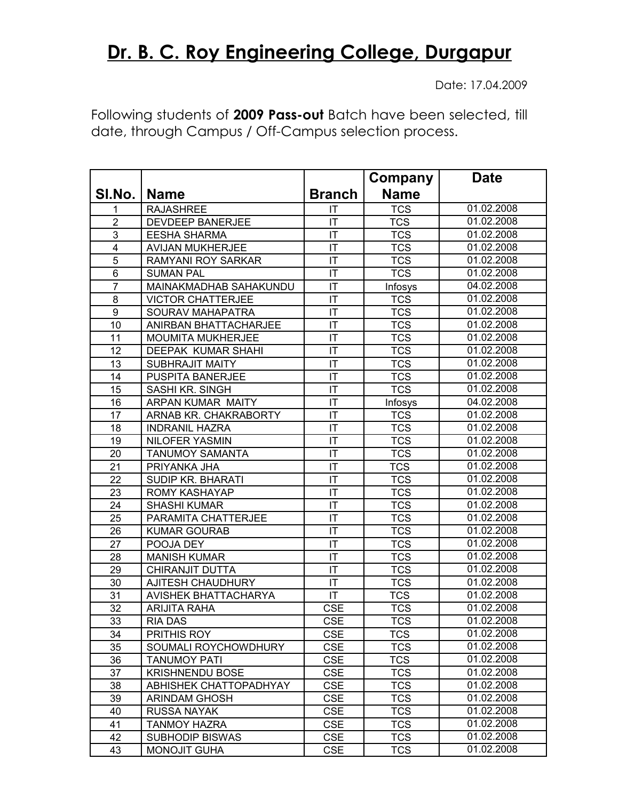## **Dr. B. C. Roy Engineering College, Durgapur**

Date: 17.04.2009

Following students of **2009 Pass-out** Batch have been selected, till date, through Campus / Off-Campus selection process.

|                         |                             |                        | Company     | <b>Date</b> |
|-------------------------|-----------------------------|------------------------|-------------|-------------|
| SI.No.                  | <b>Name</b>                 | <b>Branch</b>          | <b>Name</b> |             |
| 1                       | <b>RAJASHREE</b>            | IT                     | <b>TCS</b>  | 01.02.2008  |
| $\overline{2}$          | <b>DEVDEEP BANERJEE</b>     | IT                     | <b>TCS</b>  | 01.02.2008  |
| $\overline{3}$          | <b>EESHA SHARMA</b>         | IT                     | <b>TCS</b>  | 01.02.2008  |
| $\overline{\mathbf{4}}$ | AVIJAN MUKHERJEE            | $\mathsf{I}\mathsf{T}$ | <b>TCS</b>  | 01.02.2008  |
| $\overline{5}$          | RAMYANI ROY SARKAR          | IT                     | <b>TCS</b>  | 01.02.2008  |
| $6\phantom{1}6$         | <b>SUMAN PAL</b>            | IT                     | <b>TCS</b>  | 01.02.2008  |
| $\overline{7}$          | MAINAKMADHAB SAHAKUNDU      | IT                     | Infosys     | 04.02.2008  |
| 8                       | <b>VICTOR CHATTERJEE</b>    | IT                     | <b>TCS</b>  | 01.02.2008  |
| 9                       | <b>SOURAV MAHAPATRA</b>     | IT                     | <b>TCS</b>  | 01.02.2008  |
| 10                      | ANIRBAN BHATTACHARJEE       | IT                     | <b>TCS</b>  | 01.02.2008  |
| 11                      | MOUMITA MUKHERJEE           | IT                     | <b>TCS</b>  | 01.02.2008  |
| 12                      | DEEPAK KUMAR SHAHI          | $\mathsf{I}\mathsf{T}$ | <b>TCS</b>  | 01.02.2008  |
| 13                      | <b>SUBHRAJIT MAITY</b>      | IT                     | <b>TCS</b>  | 01.02.2008  |
| 14                      | <b>PUSPITA BANERJEE</b>     | IT                     | <b>TCS</b>  | 01.02.2008  |
| 15                      | SASHI KR. SINGH             | IT                     | <b>TCS</b>  | 01.02.2008  |
| 16                      | ARPAN KUMAR MAITY           | IT                     | Infosys     | 04.02.2008  |
| 17                      | ARNAB KR. CHAKRABORTY       | IT                     | <b>TCS</b>  | 01.02.2008  |
| 18                      | <b>INDRANIL HAZRA</b>       | IT                     | <b>TCS</b>  | 01.02.2008  |
| 19                      | <b>NILOFER YASMIN</b>       | IT                     | <b>TCS</b>  | 01.02.2008  |
| 20                      | <b>TANUMOY SAMANTA</b>      | $\mathsf{I}\mathsf{T}$ | <b>TCS</b>  | 01.02.2008  |
| 21                      | PRIYANKA JHA                | IT                     | <b>TCS</b>  | 01.02.2008  |
| 22                      | <b>SUDIP KR. BHARATI</b>    | IT                     | <b>TCS</b>  | 01.02.2008  |
| 23                      | ROMY KASHAYAP               | IT                     | <b>TCS</b>  | 01.02.2008  |
| 24                      | <b>SHASHI KUMAR</b>         | IT                     | <b>TCS</b>  | 01.02.2008  |
| 25                      | PARAMITA CHATTERJEE         | IT                     | <b>TCS</b>  | 01.02.2008  |
| 26                      | <b>KUMAR GOURAB</b>         | IT                     | <b>TCS</b>  | 01.02.2008  |
| 27                      | POOJA DEY                   | IT                     | <b>TCS</b>  | 01.02.2008  |
| 28                      | <b>MANISH KUMAR</b>         | $\mathsf{I}\mathsf{T}$ | <b>TCS</b>  | 01.02.2008  |
| 29                      | CHIRANJIT DUTTA             | IT                     | <b>TCS</b>  | 01.02.2008  |
| 30                      | AJITESH CHAUDHURY           | IT                     | <b>TCS</b>  | 01.02.2008  |
| 31                      | <b>AVISHEK BHATTACHARYA</b> | IT                     | <b>TCS</b>  | 01.02.2008  |
| 32                      | <b>ARIJITA RAHA</b>         | <b>CSE</b>             | <b>TCS</b>  | 01.02.2008  |
| $\overline{33}$         | RIA DAS                     | <b>CSE</b>             | <b>TCS</b>  | 01.02.2008  |
| 34                      | PRITHIS ROY                 | <b>CSE</b>             | TCS         | 01.02.2008  |
| 35                      | SOUMALI ROYCHOWDHURY        | <b>CSE</b>             | <b>TCS</b>  | 01.02.2008  |
| 36                      | <b>TANUMOY PATI</b>         | <b>CSE</b>             | <b>TCS</b>  | 01.02.2008  |
| 37                      | <b>KRISHNENDU BOSE</b>      | <b>CSE</b>             | <b>TCS</b>  | 01.02.2008  |
| 38                      | ABHISHEK CHATTOPADHYAY      | <b>CSE</b>             | <b>TCS</b>  | 01.02.2008  |
| 39                      | <b>ARINDAM GHOSH</b>        | <b>CSE</b>             | <b>TCS</b>  | 01.02.2008  |
| 40                      | RUSSA NAYAK                 | <b>CSE</b>             | <b>TCS</b>  | 01.02.2008  |
| 41                      | <b>TANMOY HAZRA</b>         | <b>CSE</b>             | <b>TCS</b>  | 01.02.2008  |
| 42                      | <b>SUBHODIP BISWAS</b>      | <b>CSE</b>             | <b>TCS</b>  | 01.02.2008  |
| 43                      | <b>MONOJIT GUHA</b>         | <b>CSE</b>             | <b>TCS</b>  | 01.02.2008  |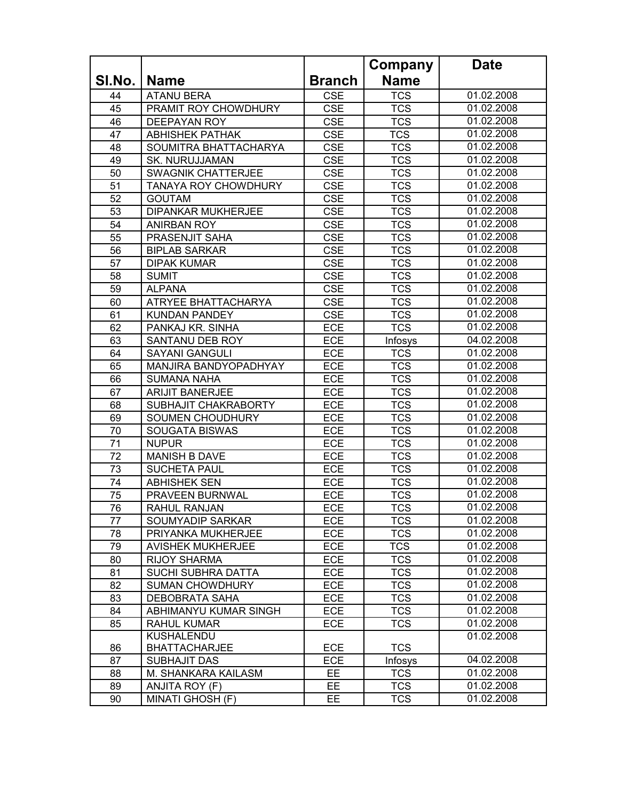|        |                             |               | Company     | <b>Date</b> |
|--------|-----------------------------|---------------|-------------|-------------|
| SI.No. | <b>Name</b>                 | <b>Branch</b> | <b>Name</b> |             |
| 44     | <b>ATANU BERA</b>           | <b>CSE</b>    | <b>TCS</b>  | 01.02.2008  |
| 45     | PRAMIT ROY CHOWDHURY        | <b>CSE</b>    | <b>TCS</b>  | 01.02.2008  |
| 46     | <b>DEEPAYAN ROY</b>         | <b>CSE</b>    | <b>TCS</b>  | 01.02.2008  |
| 47     | <b>ABHISHEK PATHAK</b>      | <b>CSE</b>    | <b>TCS</b>  | 01.02.2008  |
| 48     | SOUMITRA BHATTACHARYA       | <b>CSE</b>    | <b>TCS</b>  | 01.02.2008  |
| 49     | <b>SK. NURUJJAMAN</b>       | <b>CSE</b>    | <b>TCS</b>  | 01.02.2008  |
| 50     | SWAGNIK CHATTERJEE          | <b>CSE</b>    | <b>TCS</b>  | 01.02.2008  |
| 51     | <b>TANAYA ROY CHOWDHURY</b> | <b>CSE</b>    | <b>TCS</b>  | 01.02.2008  |
| 52     | <b>GOUTAM</b>               | <b>CSE</b>    | <b>TCS</b>  | 01.02.2008  |
| 53     | DIPANKAR MUKHERJEE          | <b>CSE</b>    | <b>TCS</b>  | 01.02.2008  |
| 54     | <b>ANIRBAN ROY</b>          | <b>CSE</b>    | <b>TCS</b>  | 01.02.2008  |
| 55     | PRASENJIT SAHA              | <b>CSE</b>    | <b>TCS</b>  | 01.02.2008  |
| 56     | <b>BIPLAB SARKAR</b>        | <b>CSE</b>    | <b>TCS</b>  | 01.02.2008  |
| 57     | <b>DIPAK KUMAR</b>          | <b>CSE</b>    | <b>TCS</b>  | 01.02.2008  |
| 58     | <b>SUMIT</b>                | <b>CSE</b>    | <b>TCS</b>  | 01.02.2008  |
| 59     | <b>ALPANA</b>               | <b>CSE</b>    | <b>TCS</b>  | 01.02.2008  |
| 60     | ATRYEE BHATTACHARYA         | <b>CSE</b>    | <b>TCS</b>  | 01.02.2008  |
| 61     | <b>KUNDAN PANDEY</b>        | <b>CSE</b>    | <b>TCS</b>  | 01.02.2008  |
| 62     | PANKAJ KR. SINHA            | <b>ECE</b>    | <b>TCS</b>  | 01.02.2008  |
| 63     | SANTANU DEB ROY             | ECE           | Infosys     | 04.02.2008  |
| 64     | <b>SAYANI GANGULI</b>       | <b>ECE</b>    | <b>TCS</b>  | 01.02.2008  |
| 65     | MANJIRA BANDYOPADHYAY       | <b>ECE</b>    | <b>TCS</b>  | 01.02.2008  |
| 66     | <b>SUMANA NAHA</b>          | <b>ECE</b>    | <b>TCS</b>  | 01.02.2008  |
| 67     | <b>ARIJIT BANERJEE</b>      | <b>ECE</b>    | <b>TCS</b>  | 01.02.2008  |
| 68     | SUBHAJIT CHAKRABORTY        | <b>ECE</b>    | <b>TCS</b>  | 01.02.2008  |
| 69     | SOUMEN CHOUDHURY            | ECE           | <b>TCS</b>  | 01.02.2008  |
| 70     | <b>SOUGATA BISWAS</b>       | <b>ECE</b>    | <b>TCS</b>  | 01.02.2008  |
| 71     | <b>NUPUR</b>                | ECE           | <b>TCS</b>  | 01.02.2008  |
| 72     | <b>MANISH B DAVE</b>        | <b>ECE</b>    | <b>TCS</b>  | 01.02.2008  |
| 73     | <b>SUCHETA PAUL</b>         | <b>ECE</b>    | <b>TCS</b>  | 01.02.2008  |
| 74     | <b>ABHISHEK SEN</b>         | <b>ECE</b>    | <b>TCS</b>  | 01.02.2008  |
| 75     | PRAVEEN BURNWAL             | <b>ECE</b>    | <b>TCS</b>  | 01.02.2008  |
| 76     | RAHUL RANJAN                | ECE           | <b>TCS</b>  | 01.02.2008  |
| 77     | SOUMYADIP SARKAR            | <b>ECE</b>    | <b>TCS</b>  | 01.02.2008  |
| 78     | PRIYANKA MUKHERJEE          | <b>ECE</b>    | <b>TCS</b>  | 01.02.2008  |
| 79     | <b>AVISHEK MUKHERJEE</b>    | <b>ECE</b>    | <b>TCS</b>  | 01.02.2008  |
| 80     | <b>RIJOY SHARMA</b>         | <b>ECE</b>    | <b>TCS</b>  | 01.02.2008  |
| 81     | SUCHI SUBHRA DATTA          | <b>ECE</b>    | <b>TCS</b>  | 01.02.2008  |
| 82     | <b>SUMAN CHOWDHURY</b>      | <b>ECE</b>    | <b>TCS</b>  | 01.02.2008  |
| 83     | <b>DEBOBRATA SAHA</b>       | <b>ECE</b>    | <b>TCS</b>  | 01.02.2008  |
| 84     | ABHIMANYU KUMAR SINGH       | <b>ECE</b>    | <b>TCS</b>  | 01.02.2008  |
| 85     | <b>RAHUL KUMAR</b>          | <b>ECE</b>    | <b>TCS</b>  | 01.02.2008  |
|        | KUSHALENDU                  |               |             | 01.02.2008  |
| 86     | <b>BHATTACHARJEE</b>        | <b>ECE</b>    | <b>TCS</b>  |             |
| 87     | <b>SUBHAJIT DAS</b>         | ECE           | Infosys     | 04.02.2008  |
| 88     | M. SHANKARA KAILASM         | <b>EE</b>     | <b>TCS</b>  | 01.02.2008  |
| 89     | ANJITA ROY (F)              | EE.           | <b>TCS</b>  | 01.02.2008  |
| 90     | MINATI GHOSH (F)            | EE            | <b>TCS</b>  | 01.02.2008  |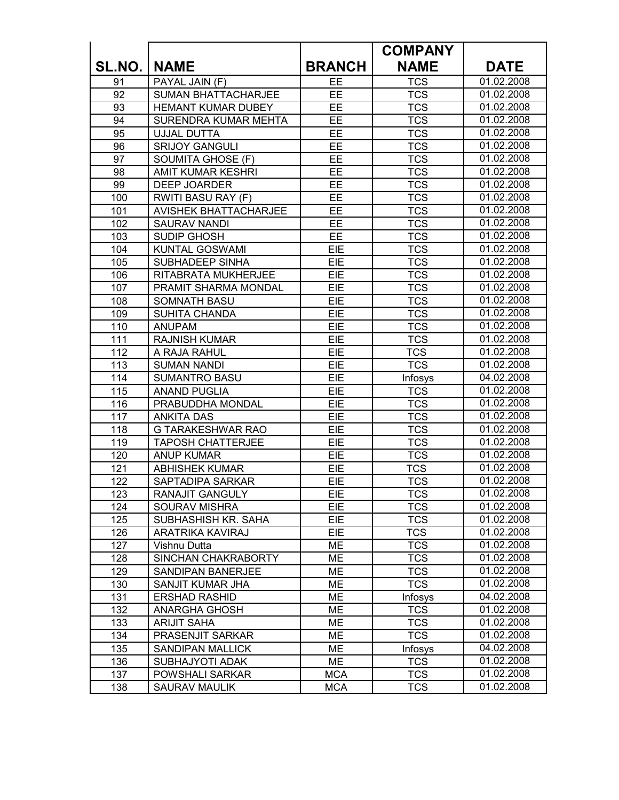|        |                              |               | <b>COMPANY</b> |             |
|--------|------------------------------|---------------|----------------|-------------|
| SL.NO. | <b>NAME</b>                  | <b>BRANCH</b> | <b>NAME</b>    | <b>DATE</b> |
| 91     | PAYAL JAIN (F)               | EE            | <b>TCS</b>     | 01.02.2008  |
| 92     | <b>SUMAN BHATTACHARJEE</b>   | <b>EE</b>     | <b>TCS</b>     | 01.02.2008  |
| 93     | HEMANT KUMAR DUBEY           | EE            | <b>TCS</b>     | 01.02.2008  |
| 94     | SURENDRA KUMAR MEHTA         | <b>EE</b>     | <b>TCS</b>     | 01.02.2008  |
| 95     | UJJAL DUTTA                  | <b>EE</b>     | <b>TCS</b>     | 01.02.2008  |
| 96     | <b>SRIJOY GANGULI</b>        | <b>EE</b>     | <b>TCS</b>     | 01.02.2008  |
| 97     | SOUMITA GHOSE (F)            | EE            | <b>TCS</b>     | 01.02.2008  |
| 98     | <b>AMIT KUMAR KESHRI</b>     | EE            | <b>TCS</b>     | 01.02.2008  |
| 99     | DEEP JOARDER                 | EE            | <b>TCS</b>     | 01.02.2008  |
| 100    | RWITI BASU RAY (F)           | <b>EE</b>     | <b>TCS</b>     | 01.02.2008  |
| 101    | <b>AVISHEK BHATTACHARJEE</b> | EE            | <b>TCS</b>     | 01.02.2008  |
| 102    | <b>SAURAV NANDI</b>          | EE            | <b>TCS</b>     | 01.02.2008  |
| 103    | <b>SUDIP GHOSH</b>           | EE            | <b>TCS</b>     | 01.02.2008  |
| 104    | <b>KUNTAL GOSWAMI</b>        | EIE           | <b>TCS</b>     | 01.02.2008  |
| 105    | SUBHADEEP SINHA              | EIE           | <b>TCS</b>     | 01.02.2008  |
| 106    | RITABRATA MUKHERJEE          | EIE           | <b>TCS</b>     | 01.02.2008  |
| 107    | PRAMIT SHARMA MONDAL         | EIE           | <b>TCS</b>     | 01.02.2008  |
| 108    | <b>SOMNATH BASU</b>          | EIE           | <b>TCS</b>     | 01.02.2008  |
| 109    | <b>SUHITA CHANDA</b>         | EIE           | <b>TCS</b>     | 01.02.2008  |
| 110    | <b>ANUPAM</b>                | EIE           | <b>TCS</b>     | 01.02.2008  |
| 111    | <b>RAJNISH KUMAR</b>         | EIE           | <b>TCS</b>     | 01.02.2008  |
| 112    | A RAJA RAHUL                 | EIE           | <b>TCS</b>     | 01.02.2008  |
| 113    | <b>SUMAN NANDI</b>           | EIE           | <b>TCS</b>     | 01.02.2008  |
| 114    | <b>SUMANTRO BASU</b>         | EIE           | Infosys        | 04.02.2008  |
| 115    | <b>ANAND PUGLIA</b>          | EIE           | <b>TCS</b>     | 01.02.2008  |
| 116    | PRABUDDHA MONDAL             | EIE           | <b>TCS</b>     | 01.02.2008  |
| 117    | <b>ANKITA DAS</b>            | EIE           | <b>TCS</b>     | 01.02.2008  |
| 118    | G TARAKESHWAR RAO            | EIE           | <b>TCS</b>     | 01.02.2008  |
| 119    | <b>TAPOSH CHATTERJEE</b>     | EIE           | <b>TCS</b>     | 01.02.2008  |
| 120    | <b>ANUP KUMAR</b>            | EIE           | <b>TCS</b>     | 01.02.2008  |
| 121    | <b>ABHISHEK KUMAR</b>        | EIE           | <b>TCS</b>     | 01.02.2008  |
| 122    | SAPTADIPA SARKAR             | EIE           | <b>TCS</b>     | 01.02.2008  |
| 123    | RANAJIT GANGULY              | <b>EIE</b>    | <b>TCS</b>     | 01.02.2008  |
| 124    | SOURAV MISHRA                | EIE           | <b>TCS</b>     | 01.02.2008  |
| 125    | SUBHASHISH KR. SAHA          | <b>EIE</b>    | <b>TCS</b>     | 01.02.2008  |
| 126    | <b>ARATRIKA KAVIRAJ</b>      | EIE           | <b>TCS</b>     | 01.02.2008  |
| 127    | Vishnu Dutta                 | ME            | <b>TCS</b>     | 01.02.2008  |
| 128    | SINCHAN CHAKRABORTY          | ME            | <b>TCS</b>     | 01.02.2008  |
| 129    | SANDIPAN BANERJEE            | ME            | <b>TCS</b>     | 01.02.2008  |
| 130    | SANJIT KUMAR JHA             | ME            | <b>TCS</b>     | 01.02.2008  |
| 131    | <b>ERSHAD RASHID</b>         | ME            | Infosys        | 04.02.2008  |
| 132    | <b>ANARGHA GHOSH</b>         | ME            | <b>TCS</b>     | 01.02.2008  |
| 133    | <b>ARIJIT SAHA</b>           | ME            | <b>TCS</b>     | 01.02.2008  |
| 134    | PRASENJIT SARKAR             | ME            | <b>TCS</b>     | 01.02.2008  |
| 135    | SANDIPAN MALLICK             | ME            | Infosys        | 04.02.2008  |
| 136    | SUBHAJYOTI ADAK              | ME            | <b>TCS</b>     | 01.02.2008  |
| 137    | POWSHALI SARKAR              | <b>MCA</b>    | <b>TCS</b>     | 01.02.2008  |
| 138    | SAURAV MAULIK                | <b>MCA</b>    | <b>TCS</b>     | 01.02.2008  |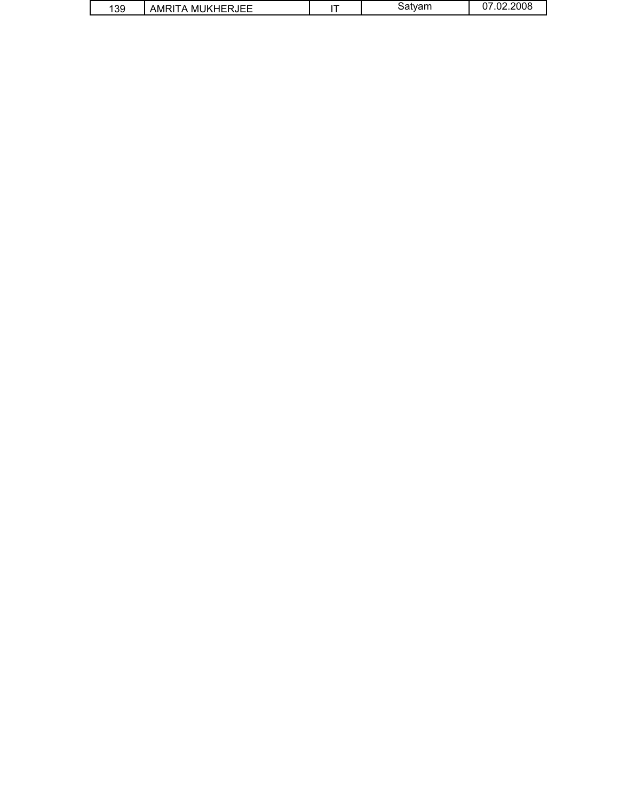| .39 | AMRITA MUKHERJEE |  | Satvam | 07.02.2008 |
|-----|------------------|--|--------|------------|
|-----|------------------|--|--------|------------|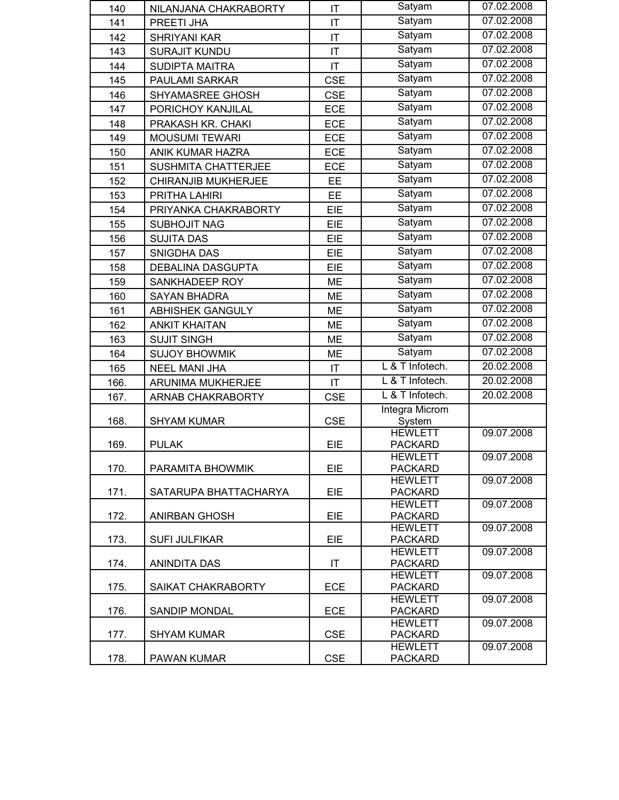| 140  | NILANJANA CHAKRABORTY    | IT                     | Satyam                           | 07.02.2008 |
|------|--------------------------|------------------------|----------------------------------|------------|
| 141  | PREETI JHA               | $\mathsf{I}\mathsf{T}$ | Satyam                           | 07.02.2008 |
| 142  | SHRIYANI KAR             | IT                     | Satyam                           | 07.02.2008 |
| 143  | <b>SURAJIT KUNDU</b>     | $\mathsf{I}\mathsf{T}$ | Satyam                           | 07.02.2008 |
| 144  | SUDIPTA MAITRA           | $\mathsf{I}\mathsf{T}$ | Satyam                           | 07.02.2008 |
| 145  | PAULAMI SARKAR           | <b>CSE</b>             | Satyam                           | 07.02.2008 |
| 146  | SHYAMASREE GHOSH         | <b>CSE</b>             | Satyam                           | 07.02.2008 |
| 147  | PORICHOY KANJILAL        | <b>ECE</b>             | Satyam                           | 07.02.2008 |
| 148  | PRAKASH KR. CHAKI        | ECE                    | Satyam                           | 07.02.2008 |
| 149  | <b>MOUSUMI TEWARI</b>    | <b>ECE</b>             | Satyam                           | 07.02.2008 |
| 150  | ANIK KUMAR HAZRA         | <b>ECE</b>             | Satyam                           | 07.02.2008 |
| 151  | SUSHMITA CHATTERJEE      | <b>ECE</b>             | Satyam                           | 07.02.2008 |
| 152  | CHIRANJIB MUKHERJEE      | EE                     | Satyam                           | 07.02.2008 |
| 153  | PRITHA LAHIRI            | EE                     | Satyam                           | 07.02.2008 |
| 154  | PRIYANKA CHAKRABORTY     | EIE                    | Satyam                           | 07.02.2008 |
| 155  | <b>SUBHOJIT NAG</b>      | EIE                    | Satyam                           | 07.02.2008 |
| 156  | <b>SUJITA DAS</b>        | EIE                    | Satyam                           | 07.02.2008 |
| 157  | SNIGDHA DAS              | EIE                    | Satyam                           | 07.02.2008 |
| 158  | DEBALINA DASGUPTA        | EIE                    | Satyam                           | 07.02.2008 |
| 159  | SANKHADEEP ROY           | <b>ME</b>              | Satyam                           | 07.02.2008 |
| 160  | <b>SAYAN BHADRA</b>      | <b>ME</b>              | Satyam                           | 07.02.2008 |
| 161  | ABHISHEK GANGULY         | ME                     | Satyam                           | 07.02.2008 |
| 162  | <b>ANKIT KHAITAN</b>     | ME                     | Satyam                           | 07.02.2008 |
| 163  | <b>SUJIT SINGH</b>       | <b>ME</b>              | Satyam                           | 07.02.2008 |
| 164  | <b>SUJOY BHOWMIK</b>     | <b>ME</b>              | Satyam                           | 07.02.2008 |
| 165  | NEEL MANI JHA            | IT                     | $\overline{L 8}$ T Infotech.     | 20.02.2008 |
| 166. | ARUNIMA MUKHERJEE        | IT                     | L & T Infotech.                  | 20.02.2008 |
| 167. | <b>ARNAB CHAKRABORTY</b> | <b>CSE</b>             | L & T Infotech.                  | 20.02.2008 |
|      |                          |                        | Integra Microm                   |            |
| 168. | <b>SHYAM KUMAR</b>       | <b>CSE</b>             | System                           |            |
|      |                          |                        | <b>HEWLETT</b>                   | 09.07.2008 |
| 169. | <b>PULAK</b>             | EIE                    | <b>PACKARD</b>                   |            |
| 170. | PARAMITA BHOWMIK         | EIE                    | <b>HEWLETT</b><br><b>PACKARD</b> | 09.07.2008 |
|      |                          |                        | <b>HEWLETT</b>                   | 09.07.2008 |
| 171. | SATARUPA BHATTACHARYA    | EIE                    | <b>PACKARD</b>                   |            |
|      |                          |                        | <b>HEWLETT</b>                   | 09.07.2008 |
| 172. | <b>ANIRBAN GHOSH</b>     | EIE                    | <b>PACKARD</b>                   |            |
| 173. | <b>SUFI JULFIKAR</b>     | EIE                    | <b>HEWLETT</b><br><b>PACKARD</b> | 09.07.2008 |
|      |                          |                        | <b>HEWLETT</b>                   | 09.07.2008 |
| 174. | <b>ANINDITA DAS</b>      | $\mathsf{I}\mathsf{T}$ | <b>PACKARD</b>                   |            |
|      |                          |                        | <b>HEWLETT</b>                   | 09.07.2008 |
| 175. | SAIKAT CHAKRABORTY       | ECE                    | <b>PACKARD</b>                   |            |
| 176. | <b>SANDIP MONDAL</b>     | <b>ECE</b>             | <b>HEWLETT</b><br><b>PACKARD</b> | 09.07.2008 |
|      |                          |                        | <b>HEWLETT</b>                   | 09.07.2008 |
| 177. | <b>SHYAM KUMAR</b>       | <b>CSE</b>             | <b>PACKARD</b>                   |            |
|      |                          |                        | <b>HEWLETT</b>                   | 09.07.2008 |
| 178. | PAWAN KUMAR              | <b>CSE</b>             | <b>PACKARD</b>                   |            |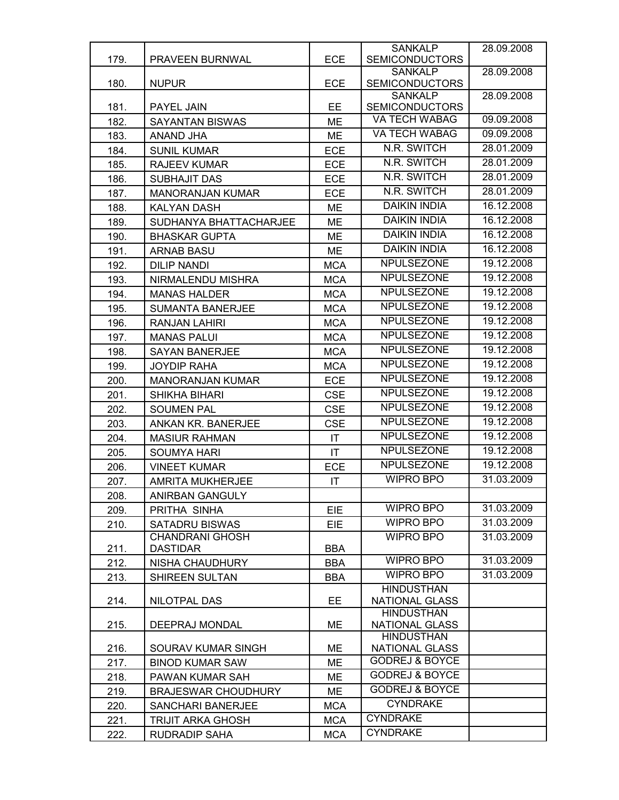|      |                                           |                        | <b>SANKALP</b>                              | 28.09.2008               |
|------|-------------------------------------------|------------------------|---------------------------------------------|--------------------------|
| 179. | <b>PRAVEEN BURNWAL</b>                    | <b>ECE</b>             | <b>SEMICONDUCTORS</b>                       |                          |
| 180. | <b>NUPUR</b>                              | <b>ECE</b>             | <b>SANKALP</b><br><b>SEMICONDUCTORS</b>     | 28.09.2008               |
|      |                                           |                        | <b>SANKALP</b>                              | 28.09.2008               |
| 181. | PAYEL JAIN                                | EE                     | <b>SEMICONDUCTORS</b>                       |                          |
| 182. | <b>SAYANTAN BISWAS</b>                    | <b>ME</b>              | VA TECH WABAG                               | 09.09.2008               |
| 183. | ANAND JHA                                 | ME                     | VA TECH WABAG                               | 09.09.2008               |
| 184. | <b>SUNIL KUMAR</b>                        | <b>ECE</b>             | N.R. SWITCH                                 | 28.01.2009               |
| 185. | RAJEEV KUMAR                              | <b>ECE</b>             | N.R. SWITCH                                 | 28.01.2009               |
| 186. | <b>SUBHAJIT DAS</b>                       | <b>ECE</b>             | N.R. SWITCH                                 | 28.01.2009               |
| 187. | <b>MANORANJAN KUMAR</b>                   | ECE                    | N.R. SWITCH                                 | 28.01.2009               |
| 188. | <b>KALYAN DASH</b>                        | <b>ME</b>              | <b>DAIKIN INDIA</b>                         | 16.12.2008               |
| 189. | SUDHANYA BHATTACHARJEE                    | <b>ME</b>              | <b>DAIKIN INDIA</b>                         | 16.12.2008               |
| 190. | <b>BHASKAR GUPTA</b>                      | <b>ME</b>              | <b>DAIKIN INDIA</b>                         | 16.12.2008               |
| 191. | <b>ARNAB BASU</b>                         | <b>ME</b>              | <b>DAIKIN INDIA</b>                         | 16.12.2008               |
| 192. | <b>DILIP NANDI</b>                        | <b>MCA</b>             | <b>NPULSEZONE</b>                           | 19.12.2008               |
| 193. | NIRMALENDU MISHRA                         | <b>MCA</b>             | <b>NPULSEZONE</b>                           | 19.12.2008               |
| 194. | <b>MANAS HALDER</b>                       | <b>MCA</b>             | <b>NPULSEZONE</b>                           | 19.12.2008               |
|      |                                           |                        | <b>NPULSEZONE</b>                           | 19.12.2008               |
| 195. | <b>SUMANTA BANERJEE</b>                   | <b>MCA</b>             | <b>NPULSEZONE</b>                           | 19.12.2008               |
| 196. | <b>RANJAN LAHIRI</b>                      | <b>MCA</b>             | <b>NPULSEZONE</b>                           | 19.12.2008               |
| 197. | <b>MANAS PALUI</b>                        | <b>MCA</b>             | <b>NPULSEZONE</b>                           | 19.12.2008               |
| 198. | <b>SAYAN BANERJEE</b>                     | <b>MCA</b>             | <b>NPULSEZONE</b>                           | 19.12.2008               |
| 199. | <b>JOYDIP RAHA</b>                        | <b>MCA</b>             | <b>NPULSEZONE</b>                           | 19.12.2008               |
| 200. | <b>MANORANJAN KUMAR</b>                   | <b>ECE</b>             | NPULSEZONE                                  | 19.12.2008               |
| 201. | SHIKHA BIHARI                             | <b>CSE</b>             | <b>NPULSEZONE</b>                           | 19.12.2008               |
| 202. | <b>SOUMEN PAL</b>                         | <b>CSE</b>             | <b>NPULSEZONE</b>                           | 19.12.2008               |
| 203. | ANKAN KR. BANERJEE                        | <b>CSE</b>             | <b>NPULSEZONE</b>                           |                          |
| 204. | <b>MASIUR RAHMAN</b>                      | $\mathsf{I}\mathsf{T}$ | <b>NPULSEZONE</b>                           | 19.12.2008<br>19.12.2008 |
| 205. | <b>SOUMYA HARI</b>                        | IT                     |                                             | 19.12.2008               |
| 206. | <b>VINEET KUMAR</b>                       | ECE                    | <b>NPULSEZONE</b>                           |                          |
| 207. | <b>AMRITA MUKHERJEE</b>                   | IT                     | <b>WIPRO BPO</b>                            | 31.03.2009               |
| 208. | ANIRBAN GANGULY                           |                        |                                             |                          |
| 209. | PRITHA SINHA                              | EIE                    | WIPRO BPO                                   | 31.03.2009               |
| 210. | <b>SATADRU BISWAS</b>                     | <b>EIE</b>             | <b>WIPRO BPO</b>                            | 31.03.2009               |
| 211. | <b>CHANDRANI GHOSH</b><br><b>DASTIDAR</b> | <b>BBA</b>             | <b>WIPRO BPO</b>                            | 31.03.2009               |
| 212. | <b>NISHA CHAUDHURY</b>                    | <b>BBA</b>             | <b>WIPRO BPO</b>                            | 31.03.2009               |
|      |                                           |                        | WIPRO BPO                                   | 31.03.2009               |
| 213. | SHIREEN SULTAN                            | <b>BBA</b>             | <b>HINDUSTHAN</b>                           |                          |
| 214. | NILOTPAL DAS                              | EE                     | <b>NATIONAL GLASS</b>                       |                          |
|      |                                           |                        | <b>HINDUSTHAN</b>                           |                          |
| 215. | DEEPRAJ MONDAL                            | ME                     | <b>NATIONAL GLASS</b>                       |                          |
|      |                                           |                        | <b>HINDUSTHAN</b>                           |                          |
| 216. | SOURAV KUMAR SINGH                        | МE                     | NATIONAL GLASS<br><b>GODREJ &amp; BOYCE</b> |                          |
| 217. | <b>BINOD KUMAR SAW</b>                    | ME                     | <b>GODREJ &amp; BOYCE</b>                   |                          |
| 218. | PAWAN KUMAR SAH                           | ME                     | <b>GODREJ &amp; BOYCE</b>                   |                          |
| 219. | <b>BRAJESWAR CHOUDHURY</b>                | ME                     | <b>CYNDRAKE</b>                             |                          |
| 220. | SANCHARI BANERJEE                         | <b>MCA</b>             |                                             |                          |
| 221. | <b>TRIJIT ARKA GHOSH</b>                  | <b>MCA</b>             | <b>CYNDRAKE</b>                             |                          |
| 222. | RUDRADIP SAHA                             | <b>MCA</b>             | <b>CYNDRAKE</b>                             |                          |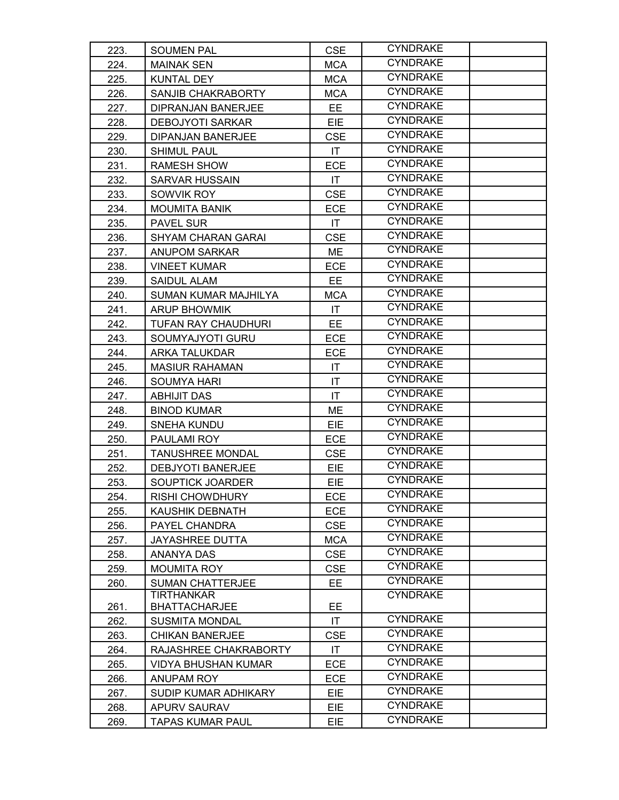| 223. | <b>SOUMEN PAL</b>                         | <b>CSE</b>             | <b>CYNDRAKE</b> |  |
|------|-------------------------------------------|------------------------|-----------------|--|
| 224. | <b>MAINAK SEN</b>                         | <b>MCA</b>             | <b>CYNDRAKE</b> |  |
| 225. | <b>KUNTAL DEY</b>                         | <b>MCA</b>             | <b>CYNDRAKE</b> |  |
| 226. | SANJIB CHAKRABORTY                        | <b>MCA</b>             | <b>CYNDRAKE</b> |  |
| 227. | DIPRANJAN BANERJEE                        | EE                     | <b>CYNDRAKE</b> |  |
| 228. | <b>DEBOJYOTI SARKAR</b>                   | EIE                    | <b>CYNDRAKE</b> |  |
| 229. | DIPANJAN BANERJEE                         | <b>CSE</b>             | <b>CYNDRAKE</b> |  |
| 230. | <b>SHIMUL PAUL</b>                        | IT                     | <b>CYNDRAKE</b> |  |
| 231. | <b>RAMESH SHOW</b>                        | <b>ECE</b>             | <b>CYNDRAKE</b> |  |
| 232. | <b>SARVAR HUSSAIN</b>                     | $\mathsf{I}\mathsf{T}$ | <b>CYNDRAKE</b> |  |
| 233. | SOWVIK ROY                                | <b>CSE</b>             | <b>CYNDRAKE</b> |  |
| 234. | <b>MOUMITA BANIK</b>                      | <b>ECE</b>             | <b>CYNDRAKE</b> |  |
| 235. | PAVEL SUR                                 | IT.                    | <b>CYNDRAKE</b> |  |
| 236. | <b>SHYAM CHARAN GARAI</b>                 | <b>CSE</b>             | <b>CYNDRAKE</b> |  |
| 237. | <b>ANUPOM SARKAR</b>                      | ME                     | <b>CYNDRAKE</b> |  |
| 238. | <b>VINEET KUMAR</b>                       | <b>ECE</b>             | <b>CYNDRAKE</b> |  |
| 239. | SAIDUL ALAM                               | EE.                    | <b>CYNDRAKE</b> |  |
| 240. | SUMAN KUMAR MAJHILYA                      | <b>MCA</b>             | <b>CYNDRAKE</b> |  |
| 241. | <b>ARUP BHOWMIK</b>                       | IT                     | <b>CYNDRAKE</b> |  |
| 242. | <b>TUFAN RAY CHAUDHURI</b>                | EE.                    | <b>CYNDRAKE</b> |  |
| 243. | SOUMYAJYOTI GURU                          | <b>ECE</b>             | <b>CYNDRAKE</b> |  |
| 244. | <b>ARKA TALUKDAR</b>                      | <b>ECE</b>             | <b>CYNDRAKE</b> |  |
| 245. | <b>MASIUR RAHAMAN</b>                     | $\mathsf{I}\mathsf{T}$ | <b>CYNDRAKE</b> |  |
| 246. | <b>SOUMYA HARI</b>                        | IT                     | <b>CYNDRAKE</b> |  |
| 247. | <b>ABHIJIT DAS</b>                        | IT                     | <b>CYNDRAKE</b> |  |
| 248. | <b>BINOD KUMAR</b>                        | ME                     | <b>CYNDRAKE</b> |  |
| 249. | <b>SNEHA KUNDU</b>                        | <b>EIE</b>             | <b>CYNDRAKE</b> |  |
| 250. | PAULAMI ROY                               | <b>ECE</b>             | <b>CYNDRAKE</b> |  |
| 251. | <b>TANUSHREE MONDAL</b>                   | <b>CSE</b>             | <b>CYNDRAKE</b> |  |
| 252. | <b>DEBJYOTI BANERJEE</b>                  | <b>EIE</b>             | <b>CYNDRAKE</b> |  |
| 253. | SOUPTICK JOARDER                          | <b>EIE</b>             | <b>CYNDRAKE</b> |  |
| 254. | RISHI CHOWDHURY                           | ECE                    | <b>CYNDRAKE</b> |  |
| 255. | KAUSHIK DEBNATH                           | <b>ECE</b>             | <b>CYNDRAKE</b> |  |
| 256. | PAYEL CHANDRA                             | <b>CSE</b>             | <b>CYNDRAKE</b> |  |
| 257. | <b>JAYASHREE DUTTA</b>                    | <b>MCA</b>             | <b>CYNDRAKE</b> |  |
| 258. | ANANYA DAS                                | <b>CSE</b>             | <b>CYNDRAKE</b> |  |
| 259. | <b>MOUMITA ROY</b>                        | <b>CSE</b>             | <b>CYNDRAKE</b> |  |
| 260. | <b>SUMAN CHATTERJEE</b>                   | EE.                    | <b>CYNDRAKE</b> |  |
| 261. | <b>TIRTHANKAR</b><br><b>BHATTACHARJEE</b> | EE.                    | <b>CYNDRAKE</b> |  |
| 262. | <b>SUSMITA MONDAL</b>                     | IT                     | <b>CYNDRAKE</b> |  |
| 263. | <b>CHIKAN BANERJEE</b>                    | <b>CSE</b>             | <b>CYNDRAKE</b> |  |
| 264. | RAJASHREE CHAKRABORTY                     | IT.                    | <b>CYNDRAKE</b> |  |
| 265. | <b>VIDYA BHUSHAN KUMAR</b>                | <b>ECE</b>             | <b>CYNDRAKE</b> |  |
| 266. | ANUPAM ROY                                | <b>ECE</b>             | <b>CYNDRAKE</b> |  |
| 267. | SUDIP KUMAR ADHIKARY                      | EIE.                   | <b>CYNDRAKE</b> |  |
| 268. | APURV SAURAV                              | <b>EIE</b>             | <b>CYNDRAKE</b> |  |
| 269. | <b>TAPAS KUMAR PAUL</b>                   | EIE.                   | <b>CYNDRAKE</b> |  |
|      |                                           |                        |                 |  |